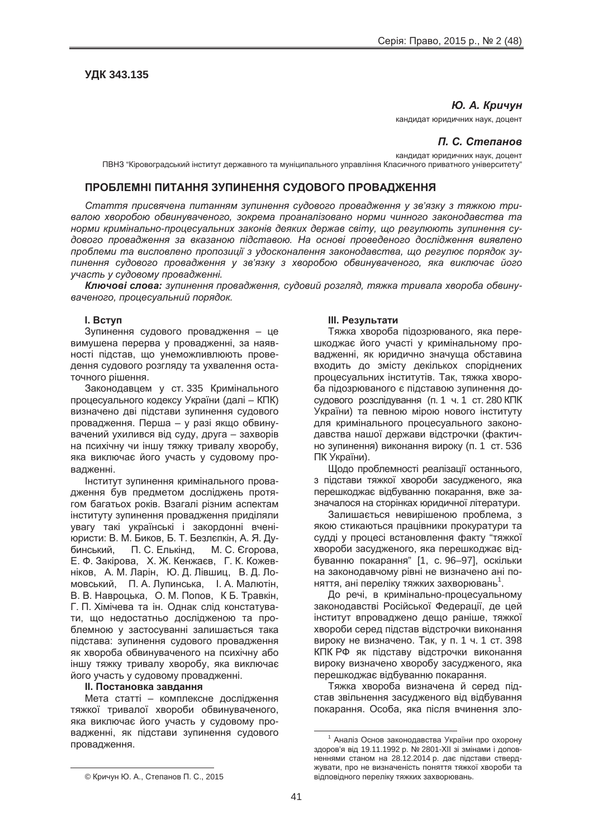# **ɍȾɄ 343.135**

#### **Ю. А. Кричун**

кандидат юридичних наук, доцент

## $\Pi$ . С. Степанов

кандидат юридичних наук, доцент

ПВНЗ "Кіровоградський інститут державного та муніципального управління Класичного приватного університету"

## **ɉɊɈȻɅȿɆɇȱ ɉɂɌȺɇɇə Ɂɍɉɂɇȿɇɇə ɋɍȾɈȼɈȽɈ ɉɊɈȼȺȾɀȿɇɇə**

Стаття присвячена питанням зупинення судового провадження у зв'язку з тяжкою три*ɜɚɥɨɸ ɯɜɨɪɨɛɨɸ ɨɛɜɢɧɭɜɚɱɟɧɨɝɨ, ɡɨɤɪɟɦɚ ɩɪɨɚɧɚɥɿɡɨɜɚɧɨ ɧɨɪɦɢ ɱɢɧɧɨɝɨ ɡɚɤɨɧɨɞɚɜɫɬɜɚ ɬɚ ɧɨɪɦɢ ɤɪɢɦɿɧɚɥɶɧɨ-ɩɪɨɰɟɫɭɚɥɶɧɢɯ ɡɚɤɨɧɿɜ ɞɟɹɤɢɯ ɞɟɪɠɚɜ ɫɜɿɬɭ, ɳɨ ɪɟɝɭɥɸɸɬɶ ɡɭɩɢɧɟɧɧɹ ɫɭ*дового провадження за вказаною підставою. На основі проведеного дослідження виявлено проблеми та висловлено пропозиції з удосконалення законодавства, що регулює порядок зулинення судового провадження у зв'язку з хворобою обвинуваченого, яка виключає його  $V$ часть у судовому провадженні.

Ключові слова: зупинення провадження, судовий розгляд, тяжка тривала хвороба обвину*ɜɚɱɟɧɨɝɨ, ɩɪɨɰɟɫɭɚɥɶɧɢɣ ɩɨɪɹɞɨɤ.*

## **l.** Bctyn

Зупинення судового провадження - це вимушена перерва у провадженні, за наявності підстав, що унеможливлюють проведення судового розгляду та ухвалення остаточного рішення.

Законодавцем у ст. 335 Кримінального процесуального кодексу України (далі – КПК) визначено дві підстави зупинення судового провадження. Перша – у разі якщо обвинувачений ухилився від суду, друга – захворів на психічну чи іншу тяжку тривалу хворобу, яка виключає його участь у судовому провадженні.

Інститут зупинення кримінального провадження був предметом досліджень протягом багатьох років. Взагалі різним аспектам інституту зупинення провадження приділяли увагу такі українські і закордонні вченіюристи: В. М. Биков, Б. Т. Безлєпкін, А. Я. Дубинський, П. С. Елькінд, М. С. Єгорова, Е. Ф. Закірова, Х. Ж. Кенжаєв, Г. К. Кожевніков. А. М. Ларін. Ю. Д. Лівшиц. В. Д. Ломовський, П. А. Лупинська, І. А. Малютін, В. В. Навроцька, О. М. Попов, К Б. Травкін, Г. П. Хімічева та ін. Однак слід констатувати, що недостатньо дослідженою та проблемною у застосуванні залишається така підстава: зупинення судового провадження як хвороба обвинуваченого на психічну або іншу тяжку тривалу хворобу, яка виключає його участь у судовому провадженні.

#### **II. Постановка завдання**

Мета статті – комплексне дослідження тяжкої тривалої хвороби обвинуваченого, яка виключає його участь у судовому провадженні, як підстави зупинення судового провадження.

#### **Ш. Результати**

Тяжка хвороба підозрюваного, яка перешкоджає його участі у кримінальному провадженні, як юридично значуща обставина входить до змісту декількох споріднених процесуальних інститутів. Так, тяжка хвороба підозрюваного є підставою зупинення досудового розслідування (п. 1 ч. 1 ст. 280 КПК України) та певною мірою нового інституту для кримінального процесуального законодавства нашої держави відстрочки (фактично зупинення) виконання вироку (п. 1 ст. 536 ПК України).

Щодо проблемності реалізації останнього, з підстави тяжкої хвороби засудженого, яка перешкоджає відбуванню покарання, вже зазначалося на сторінках юридичної літератури.

Залишається невирішеною проблема, з якою стикаються працівники прокуратури та судді у процесі встановлення факту "тяжкої хвороби засудженого, яка перешкоджає відбуванню покарання" [1, с. 96-97], оскільки на законодавчому рівні не визначено ані поняття, ані переліку тяжких захворювань<sup>1</sup>.

До речі, в кримінально-процесуальному законодавстві Російської Федерації, де цей інститут впроваджено дещо раніше, тяжкої хвороби серед підстав відстрочки виконання вироку не визначено. Так, у п. 1 ч. 1 ст. 398 КПК РФ як підставу відстрочки виконання вироку визначено хворобу засудженого, яка перешкоджає відбуванню покарання.

Тяжка хвороба визначена й серед підстав звільнення засудженого від відбування покарання. Особа, яка після вчинення зло-

 $1$  Аналіз Основ законодавства України про охорону здоров'я від 19.11.1992 р. № 2801-XII зі змінами і доповненнями станом на 28.12.2014 р. дає підстави стверджувати, про не визначеність поняття тяжкої хвороби та відповідного переліку тяжких захворювань.

<sup>©</sup> Кричун Ю. А., Степанов П. С., 2015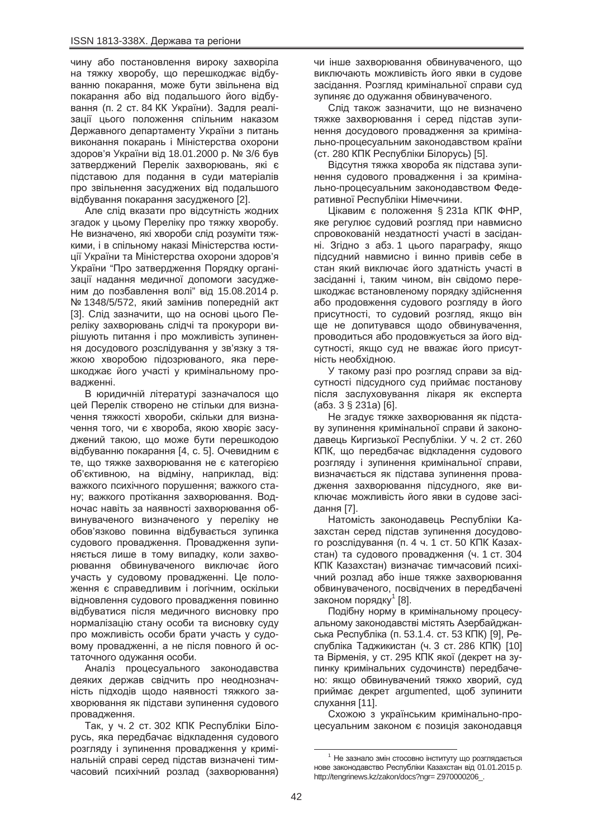чину або постановлення вироку захворіла на тяжку хворобу, що перешкоджає відбуванню покарання, може бути звільнена від покарання або від подальшого його відбування (п. 2 ст. 84 КК України). Задля реалізації цього положення спільним наказом Державного департаменту України з питань виконання покарань і Міністерства охорони здоров'я України від 18.01.2000 р. № 3/6 був затверджений Перелік захворювань, які є підставою для подання в суди матеріалів про звільнення засуджених від подальшого відбування покарання засудженого [2].

Але слід вказати про відсутність жодних згадок у цьому Переліку про тяжку хворобу. Не визначено, які хвороби слід розуміти тяжкими, і в спільному наказі Міністерства юстиції України та Міністерства охорони здоров'я України "Про затвердження Порядку організації надання медичної допомоги засудженим до позбавлення волі" від 15.08.2014 р. № 1348/5/572, який замінив попередній акт [3]. Слід зазначити, що на основі цього Переліку захворювань слідчі та прокурори вирішують питання і про можливість зупинення досудового розслідування у зв'язку з тяжкою хворобою підозрюваного, яка перешкоджає його участі у кримінальному провадженні.

В юридичній літературі зазначалося що цей Перелік створено не стільки для визначення тяжкості хвороби, скільки для визначення того, чи є хвороба, якою хворіє засуджений такою, що може бути перешкодою відбуванню покарання [4, с. 5]. Очевидним є те, що тяжке захворювання не є категорією об'єктивною, на відміну, наприклад, від: важкого психічного порушення: важкого стану; важкого протікання захворювання. Водночас навіть за наявності захворювання обвинуваченого визначеного у переліку не обов'язково повинна відбувається зупинка судового провадження. Провадження зупиняється лише в тому випадку, коли захворювання обвинуваченого виключає його участь у судовому провадженні. Це положення є справедливим і логічним, оскільки відновлення судового провадження повинно відбуватися після медичного висновку про нормалізацію стану особи та висновку суду про можливість особи брати участь у судовому провадженні, а не після повного й остаточного одужання особи.

Аналіз процесуального законодавства деяких держав свідчить про неоднозначність підходів щодо наявності тяжкого захворювання як підстави зупинення судового провадження.

Так, у ч. 2 ст. 302 КПК Республіки Білорусь, яка передбачає відкладення судового розгляду і зупинення провадження у кримінальній справі серед підстав визначені тимчасовий психічний розлад (захворювання) чи інше захворювання обвинуваченого, що виключають можливість його явки в судове засідання. Розгляд кримінальної справи суд зупиняє до одужання обвинуваченого.

Слід також зазначити, що не визначено тяжке захворювання і серед підстав зупинення досудового провадження за кримінально-процесуальним законодавством країни (ст. 280 КПК Республіки Білорусь) [5].

Відсутня тяжка хвороба як підстава зупинення судового провадження і за кримінально-процесуальним законодавством Федеративної Республіки Німеччини.

Цікавим є положення § 231 aКПК ФНР, яке регулює судовий розгляд при навмисно спровокованій нездатності участі в засіданні. Згідно з абз. 1 цього параграфу, якщо підсудний навмисно і винно привів себе в стан який виключає його здатність участі в засіданні і, таким чином, він свідомо перешкоджає встановленому порядку здійснення або продовження судового розгляду в його присутності, то судовий розгляд, якщо він ще не допитувався щодо обвинувачення, проводиться або продовжується за його відсутності, якщо суд не вважає його присутність необхідною.

У такому разі про розгляд справи за відсутності підсудного суд приймає постанову після заслуховування лікаря як експерта  $(a63. 3 \S 231a)$  [6].

Не згадує тяжке захворювання як підставу зупинення кримінальної справи й законодавець Киргизької Республіки. У ч. 2 ст. 260 КПК, що передбачає відкладення судового розгляду і зупинення кримінальної справи, визначається як підстава зупинення провадження захворювання підсудного, яке виключає можливість його явки в судове засідання [7].

Натомість законодавець Республіки Казахстан серед підстав зупинення досудового розслідування (п. 4 ч. 1 ст. 50 КПК Казахстан) та судового провадження (ч. 1 ст. 304 КПК Казахстан) визначає тимчасовий психічний розлад або інше тяжке захворювання обвинуваченого, посвідчених в передбачені законом порядку<sup>1</sup> [8].

Подібну норму в кримінальному процесуальному законодавстві містять Азербайджанська Республіка (п. 53.1.4. ст. 53 КПК) [9], Республіка Таджикистан (ч. 3 ст. 286 КПК) [10]. та Вірменія, у ст. 295 КПК якої (декрет на зупинку кримінальних судочинств) передбачено: якщо обвинувачений тяжко хворий, суд приймає декрет argumented, щоб зупинити слухання [11].

Схожою з українським кримінально-процесуальним законом є позиція законодавця

 $1$  Не зазнало змін стосовно інституту що розглядається нове законодавство Республіки Казахстан від 01.01.2015 р. http://tengrinews.kz/zakon/docs?ngr= Z970000206\_.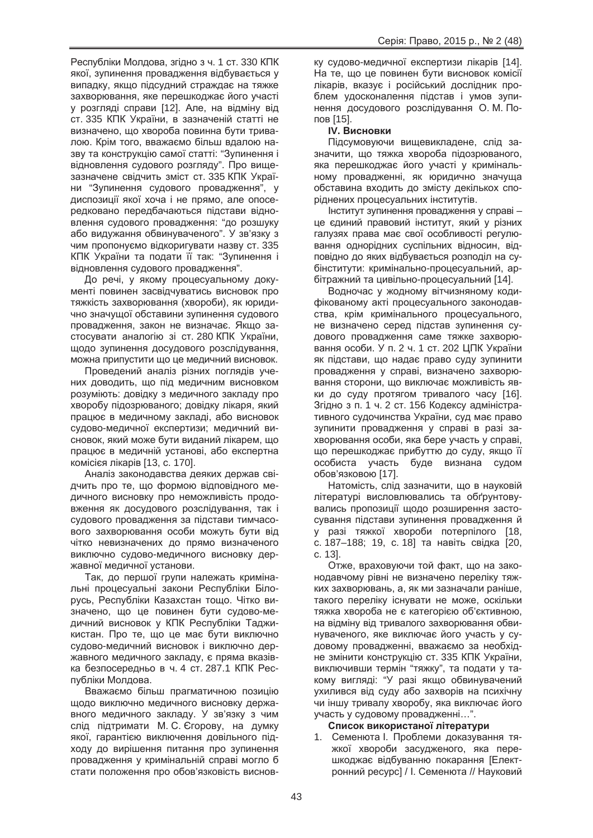Республіки Молдова, згідно з ч. 1 ст. 330 КПК якої, зупинення провадження відбувається у випадку, якщо підсудний страждає на тяжке захворювання, яке перешкоджає його участі у розгляді справи [12]. Але, на відміну від ст. 335 КПК України, в зазначеній статті не визначено, що хвороба повинна бути тривалою. Крім того, вважаємо більш вдалою назву та конструкцію самої статті: "Зупинення і відновлення судового розгляду". Про вищезазначене свідчить зміст ст. 335 КПК України "Зупинення судового провадження", у диспозиції якої хоча і не прямо, але опосередковано передбачаються підстави відновлення судового провадження: "до розшуку або видужання обвинуваченого". У зв'язку з чим пропонуємо відкоригувати назву ст. 335 КПК України та подати її так: "Зупинення і відновлення судового провадження".

До речі, у якому процесуальному документі повинен засвідчуватись висновок про тяжкість захворювання (хвороби), як юридично значущої обставини зупинення судового провадження, закон не визначає. Якщо застосувати аналогію зі ст. 280 КПК України, щодо зупинення досудового розслідування, можна припустити що це медичний висновок.

Проведений аналіз різних поглядів учених доводить, що під медичним висновком розуміють: довідку з медичного закладу про хворобу підозрюваного; довідку лікаря, який працює в медичному закладі, або висновок судово-медичної експертизи; медичний висновок, який може бути виданий лікарем, що працює в медичній установі, або експертна комісієя лікарів [13, с. 170].

Аналіз законодавства деяких держав свідчить про те, що формою відповідного медичного висновку про неможливість продовження як досудового розслідування, так і судового провадження за підстави тимчасового захворювання особи можуть бути від чітко невизначених до прямо визначеного виключно судово-медичного висновку державної медичної установи.

Так, до першої групи належать кримінальні процесуальні закони Республіки Білорусь, Республіки Казахстан тощо. Чітко визначено, що це повинен бути судово-медичний висновок у КПК Республіки Таджикистан. Про те, що це має бути виключно судово-медичний висновок і виключно державного медичного закладу, є пряма вказівка безпосередньо в ч. 4 ст. 287.1 КПК Республіки Молдова.

Вважаємо більш прагматичною позицію щодо виключно медичного висновку державного медичного закладу. У зв'язку з чим слід підтримати М. С. Єгорову, на думку якої, гарантією виключення довільного підходу до вирішення питання про зупинення провадження у кримінальній справі могло б стати положення про обов'язковість висновку судово-медичної експертизи лікарів [14]. На те, що це повинен бути висновок комісії лікарів, вказує і російський дослідник проблем удосконалення підстав і умов зупинення досудового розслідування О. М. Попов [15].

# **IV. Висновки**

Підсумовуючи вищевикладене, слід зазначити, що тяжка хвороба підозрюваного, яка перешкоджає його участі у кримінальному провадженні, як юридично значуща обставина входить до змісту декількох споріднених процесуальних інститутів.

Інститут зупинення провадження у справі це єдиний правовий інститут, який у різних галузях права має свої особливості регулювання однорідних суспільних відносин, відповідно до яких відбувається розподіл на субінститути: кримінально-процесуальний, арбітражний та цивільно-процесуальний [14].

Водночас у жодному вітчизняному кодифікованому акті процесуального законодавства, крім кримінального процесуального, не визначено серед підстав зупинення судового провадження саме тяжке захворювання особи. У п. 2 ч. 1 ст. 202 ЦПК України як підстави, що надає право суду зупинити провадження у справі, визначено захворювання сторони, що виключає можливість явки до суду протягом тривалого часу [16]. Згідно з п. 1 ч. 2 ст. 156 Кодексу адміністративного судочинства України, суд має право зупинити провадження у справі в разі захворювання особи, яка бере участь у справі, що перешкоджає прибуттю до суду, якщо її особиста участь буде визнана судом обов'язковою [17].

Натомість, слід зазначити, що в науковій літературі висловлювались та обґрунтовувались пропозиції шодо розширення застосування підстави зупинення провадження й у разі тяжкої хвороби потерпілого [18, с. 187–188; 19, с. 18] та навіть свідка [20, ɫ. 13].

Отже, враховуючи той факт, що на законодавчому рівні не визначено переліку тяжких захворювань, а, як ми зазначали раніше, такого переліку існувати не може, оскільки тяжка хвороба не є категорією об'єктивною, на відміну від тривалого захворювання обвинуваченого, яке виключає його участь у судовому провадженні, вважаємо за необхідне змінити конструкцію ст. 335 КПК України, виключивши термін "тяжку", та подати у такому вигляді: "У разі якщо обвинувачений ухилився від суду або захворів на психічну чи іншу тривалу хворобу, яка виключає його үчасть у судовому провадженні...".

## Список використаної літератури

1. Семенюта І. Проблеми доказування тяжкої хвороби засудженого, яка перешкоджає відбуванню покарання [Електронний ресурс] / І. Семенюта // Науковий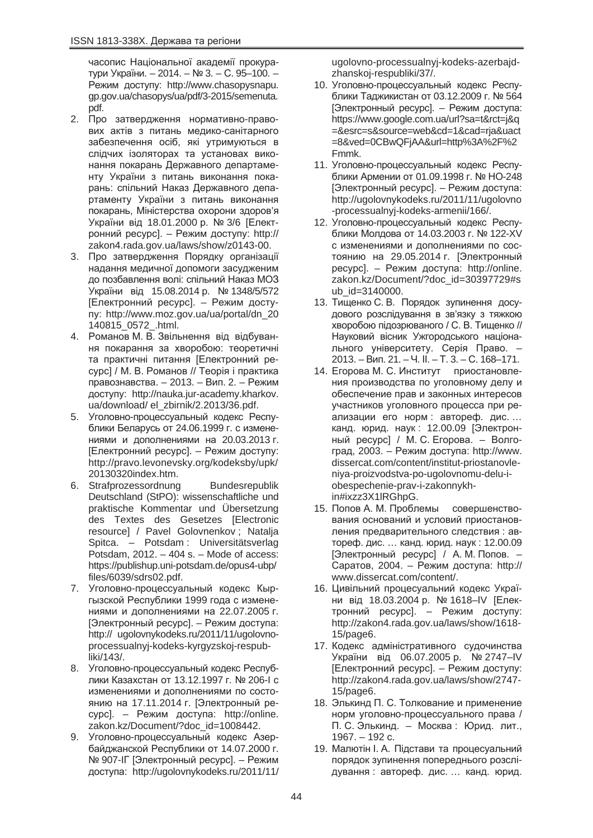часопис Національної академії прокуратури України. – 2014. – № 3. – С. 95–100. – Режим доступу: http://www.chasopysnapu. gp.gov.ua/chasopys/ua/pdf/3-2015/semenuta. pdf.

- 2. Про затвердження нормативно-правових актів з питань медико-санітарного забезпечення осіб, які утримуються в слідчих ізоляторах та установах виконання покарань Державного департаменту України з питань виконання покарань: спільний Наказ Державного департаменту України з питань виконання покарань, Міністерства охорони здоров'я України від 18.01.2000 р. № 3/6 [Електронний ресурс]. – Режим доступу: http:// zakon4.rada.gov.ua/laws/show/z0143-00.
- 3. Про затвердження Порядку організації надання медичної допомоги засудженим до позбавлення волі: спільний Наказ МОЗ України від 15.08.2014 р. № 1348/5/572 [Електронний ресурс]. – Режим достуɩɭ: http://www.moz.gov.ua/ua/portal/dn\_20 140815\_0572\_.html.
- 4. Романов М. В. Звільнення від відбування покарання за хворобою: теоретичні та практичні питання [Електронний ресурс] / М. В. Романов // Теорія і практика правознавства. – 2013. – Вип. 2. – Режим доступу: http://nauka.jur-academy.kharkov. ua/download/ el\_zbirnik/2.2013/36.pdf.
- 5. Уголовно-процессуальный кодекс Республики Беларусь от 24.06.1999 г. с изменениями и дополнениями на 20.03.2013 г. [Електронний ресурс]. – Режим доступу: http://pravo.levonevsky.org/kodeksby/upk/ 20130320index.htm.
- 6. Strafprozessordnung Bundesrepublik Deutschland (StPO): wissenschaftliche und praktische Kommentar und Übersetzung des Textes des Gesetzes [Electronic resource] / Pavel Golovnenkov ; Natalja Spitca. – Potsdam : Universitätsverlag Potsdam, 2012. – 404 s. – Mode of access: https://publishup.uni-potsdam.de/opus4-ubp/ files/6039/sdrs02.pdf.
- 7. Уголовно-процессуальный кодекс Кыргызской Республики 1999 года с изменениями и дополнениями на 22.07.2005 г. [Электронный ресурс]. – Режим доступа: http:// ugolovnykodeks.ru/2011/11/ugolovnoprocessualnyj-kodeks-kyrgyzskoj-respubliki/143/.
- 8. Уголовно-процессуальный кодекс Республики Казахстан от 13.12.1997 г. № 206-I с изменениями и дополнениями по состоянию на 17.11.2014 г. [Электронный ресурс]. – Режим доступа: http://online. zakon.kz/Document/?doc\_id=1008442.
- 9. Уголовно-процессуальный кодекс Азербайджанской Республики от 14.07.2000 г. № 907-ІГ [Электронный ресурс]. – Режим доступа: http://ugolovnykodeks.ru/2011/11/

ugolovno-processualnyj-kodeks-azerbajdzhanskoj-respubliki/37/.

- 10. Уголовно-процессуальный кодекс Республики Таджикистан от 03.12.2009 г. № 564 [Электронный ресурс]. – Режим доступа: https://www.google.com.ua/url?sa=t&rct=j&q =&esrc=s&source=web&cd=1&cad=rja&uact =8&ved=0CBwQFjAA&url=http%3A%2F%2 Fmmk.
- 11. Уголовно-процессуальный кодекс Республики Армении от 01.09.1998 г. № НО-248 [Электронный ресурс]. – Режим доступа: http://ugolovnykodeks.ru/2011/11/ugolovno -processualnyj-kodeks-armenii/166/.
- 12. Уголовно-процессуальный кодекс Республики Молдова от 14.03.2003 г. № 122-XV с изменениями и дополнениями по состоянию на 29.05.2014 г. [Электронный pecypcl. – Режим доступа: http://online. zakon.kz/Document/?doc\_id=30397729#s ub\_id=3140000.
- 13. Тищенко С. В. Порядок зупинення досудового розслідування в зв'язку з тяжкою хворобою підозрюваного / С. В. Тищенко // Науковий вісник Ужгородського національного університету. Серія Право. – 2013. – Вип. 21. – Ч. II. – Т. 3. – С. 168–171.
- 14. Егорова М. С. Институт приостановления производства по уголовному делу и обеспечение прав и законных интересов участников уголовного процесса при реализации его норм : автореф. дис.... канд. юрид. наук: 12.00.09 [Электронный ресурс] / М. С. Егорова. – Волгоград, 2003. – Режим доступа: http://www. dissercat.com/content/institut-priostanovleniya-proizvodstva-po-ugolovnomu-delu-iobespechenie-prav-i-zakonnykhin#ixzz3X1lRGhpG.
- 15. Попов А. М. Проблемы совершенствования оснований и условий приостановления предварительного следствия : автореф. дис. ... канд. юрид. наук: 12.00.09 [Электронный ресурс] / А. М. Попов. – Саратов, 2004. – Режим доступа: http:// www.dissercat.com/content/.
- 16. Цивільний процесуальний кодекс України від 18.03.2004 р. № 1618–IV [Електронний ресурс]. – Режим доступу: http://zakon4.rada.gov.ua/laws/show/1618- 15/page6.
- 17. Кодекс адміністративного судочинства України від 06.07.2005 р. № 2747–IV [Електронний ресурс]. – Режим доступу: http://zakon4.rada.gov.ua/laws/show/2747- 15/page6.
- 18. Элькинд П. С. Толкование и применение норм уголовно-процессуального права / П. С. Элькинд. – Москва: Юрид. лит.,  $1967. - 192$  c.
- 19. Малютін І. А. Підстави та процесуальний порядок зупинення попереднього розслідування : автореф. дис. ... канд. юрид.